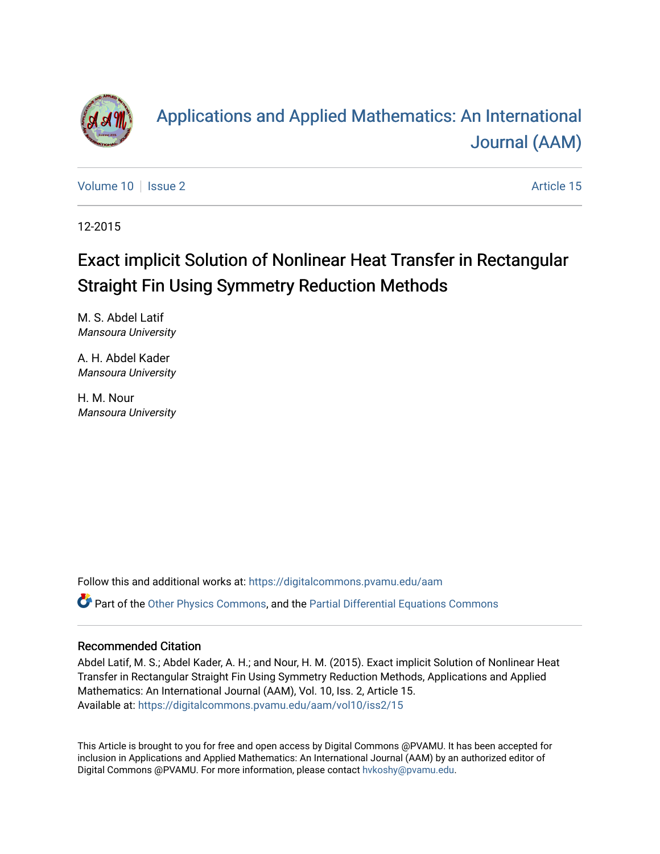

# [Applications and Applied Mathematics: An International](https://digitalcommons.pvamu.edu/aam)  [Journal \(AAM\)](https://digitalcommons.pvamu.edu/aam)

[Volume 10](https://digitalcommons.pvamu.edu/aam/vol10) | [Issue 2](https://digitalcommons.pvamu.edu/aam/vol10/iss2) Article 15

12-2015

# Exact implicit Solution of Nonlinear Heat Transfer in Rectangular Straight Fin Using Symmetry Reduction Methods

M. S. Abdel Latif Mansoura University

A. H. Abdel Kader Mansoura University

H. M. Nour Mansoura University

Follow this and additional works at: [https://digitalcommons.pvamu.edu/aam](https://digitalcommons.pvamu.edu/aam?utm_source=digitalcommons.pvamu.edu%2Faam%2Fvol10%2Fiss2%2F15&utm_medium=PDF&utm_campaign=PDFCoverPages)  Part of the [Other Physics Commons](http://network.bepress.com/hgg/discipline/207?utm_source=digitalcommons.pvamu.edu%2Faam%2Fvol10%2Fiss2%2F15&utm_medium=PDF&utm_campaign=PDFCoverPages), and the [Partial Differential Equations Commons](http://network.bepress.com/hgg/discipline/120?utm_source=digitalcommons.pvamu.edu%2Faam%2Fvol10%2Fiss2%2F15&utm_medium=PDF&utm_campaign=PDFCoverPages) 

#### Recommended Citation

Abdel Latif, M. S.; Abdel Kader, A. H.; and Nour, H. M. (2015). Exact implicit Solution of Nonlinear Heat Transfer in Rectangular Straight Fin Using Symmetry Reduction Methods, Applications and Applied Mathematics: An International Journal (AAM), Vol. 10, Iss. 2, Article 15. Available at: [https://digitalcommons.pvamu.edu/aam/vol10/iss2/15](https://digitalcommons.pvamu.edu/aam/vol10/iss2/15?utm_source=digitalcommons.pvamu.edu%2Faam%2Fvol10%2Fiss2%2F15&utm_medium=PDF&utm_campaign=PDFCoverPages)

This Article is brought to you for free and open access by Digital Commons @PVAMU. It has been accepted for inclusion in Applications and Applied Mathematics: An International Journal (AAM) by an authorized editor of Digital Commons @PVAMU. For more information, please contact [hvkoshy@pvamu.edu.](mailto:hvkoshy@pvamu.edu)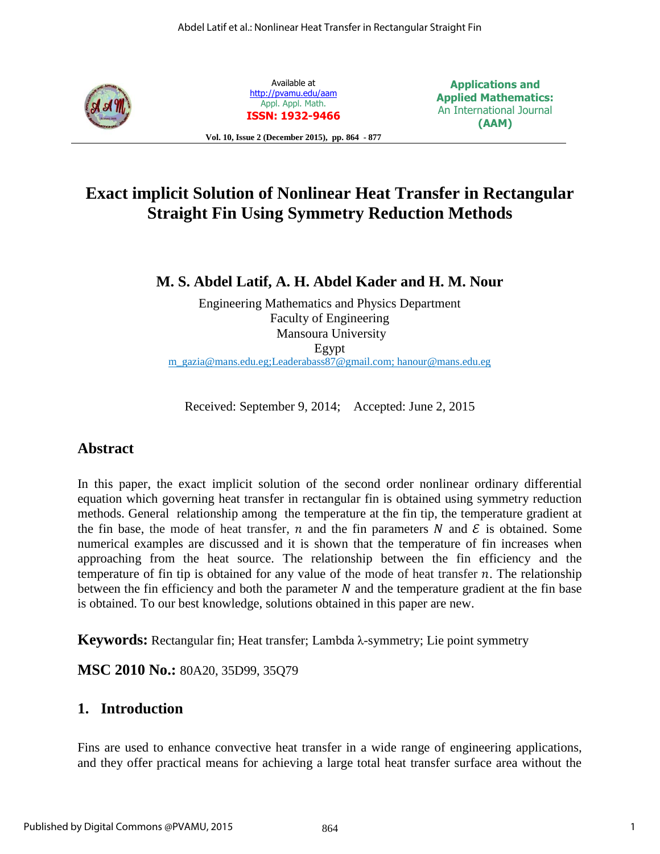

Available at <http://pvamu.edu/aam> Appl. Appl. Math. **ISSN: 1932-9466**

**Applications and Applied Mathematics:**  An International Journal **(AAM)**

**Vol. 10, Issue 2 (December 2015), pp. 864 - 877**

## **Exact implicit Solution of Nonlinear Heat Transfer in Rectangular Straight Fin Using Symmetry Reduction Methods**

**M. S. Abdel Latif, A. H. Abdel Kader and H. M. Nour** 

Engineering Mathematics and Physics Department Faculty of Engineering Mansoura University Egypt [m\\_gazia@mans.edu.eg;](mailto:m_gazia@hotmail.com)[Leaderabass87@gmail.com;](mailto:Leaderabass87@gmail.com) [hanour@mans.edu.eg](mailto:hanour@mans.edu.eg)

Received: September 9, 2014; Accepted: June 2, 2015

## **Abstract**

In this paper, the exact implicit solution of the second order nonlinear ordinary differential equation which governing heat transfer in rectangular fin is obtained using symmetry reduction methods. General relationship among the temperature at the fin tip, the temperature gradient at the fin base, the mode of heat transfer, n and the fin parameters N and  $\mathcal E$  is obtained. Some numerical examples are discussed and it is shown that the temperature of fin increases when approaching from the heat source. The relationship between the fin efficiency and the temperature of fin tip is obtained for any value of the mode of heat transfer  $n$ . The relationship between the fin efficiency and both the parameter  $N$  and the temperature gradient at the fin base is obtained. To our best knowledge, solutions obtained in this paper are new.

**Keywords:** Rectangular fin; Heat transfer; Lambda λ-symmetry; Lie point symmetry

**MSC 2010 No.:** 80A20, 35D99, 35Q79

## **1. Introduction**

Fins are used to enhance convective heat transfer in a wide range of engineering applications, and they offer practical means for achieving a large total heat transfer surface area without the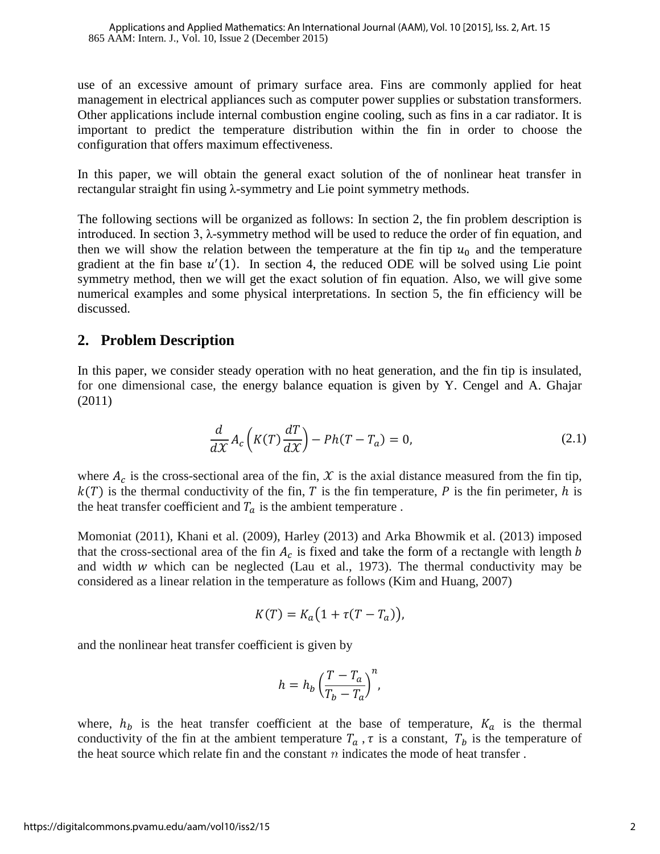use of an excessive amount of primary surface area. Fins are commonly applied for heat management in electrical appliances such as computer power supplies or substation transformers. Other applications include internal combustion engine cooling, such as fins in a car radiator. It is important to predict the temperature distribution within the fin in order to choose the configuration that offers maximum effectiveness.

In this paper, we will obtain the general exact solution of the of nonlinear heat transfer in rectangular straight fin using λ-symmetry and Lie point symmetry methods.

The following sections will be organized as follows: In section 2, the fin problem description is introduced. In section 3, λ-symmetry method will be used to reduce the order of fin equation, and then we will show the relation between the temperature at the fin tip  $u_0$  and the temperature gradient at the fin base  $u'(1)$ . In section 4, the reduced ODE will be solved using Lie point symmetry method, then we will get the exact solution of fin equation. Also, we will give some numerical examples and some physical interpretations. In section 5, the fin efficiency will be discussed.

### **2. Problem Description**

In this paper, we consider steady operation with no heat generation, and the fin tip is insulated, for one dimensional case, the energy balance equation is given by Y. Cengel and A. Ghajar (2011)

$$
\frac{d}{d\mathcal{X}}A_c\left(K(T)\frac{dT}{d\mathcal{X}}\right) - Ph(T - T_a) = 0,\tag{2.1}
$$

where  $A_c$  is the cross-sectional area of the fin,  $\mathcal X$  is the axial distance measured from the fin tip,  $k(T)$  is the thermal conductivity of the fin, T is the fin temperature, P is the fin perimeter, h is the heat transfer coefficient and  $T_a$  is the ambient temperature.

Momoniat (2011), Khani et al. (2009), Harley (2013) and Arka Bhowmik et al. (2013) imposed that the cross-sectional area of the fin  $A_c$  is fixed and take the form of a rectangle with length b and width  $w$  which can be neglected (Lau et al., 1973). The thermal conductivity may be considered as a linear relation in the temperature as follows (Kim and Huang, 2007)

$$
K(T) = K_a \big( 1 + \tau (T - T_a) \big),
$$

and the nonlinear heat transfer coefficient is given by

$$
h=h_b\left(\frac{T-T_a}{T_b-T_a}\right)^n,
$$

where,  $h_b$  is the heat transfer coefficient at the base of temperature,  $K_a$  is the thermal conductivity of the fin at the ambient temperature  $T_a$ ,  $\tau$  is a constant,  $T_b$  is the temperature of the heat source which relate fin and the constant  $n$  indicates the mode of heat transfer.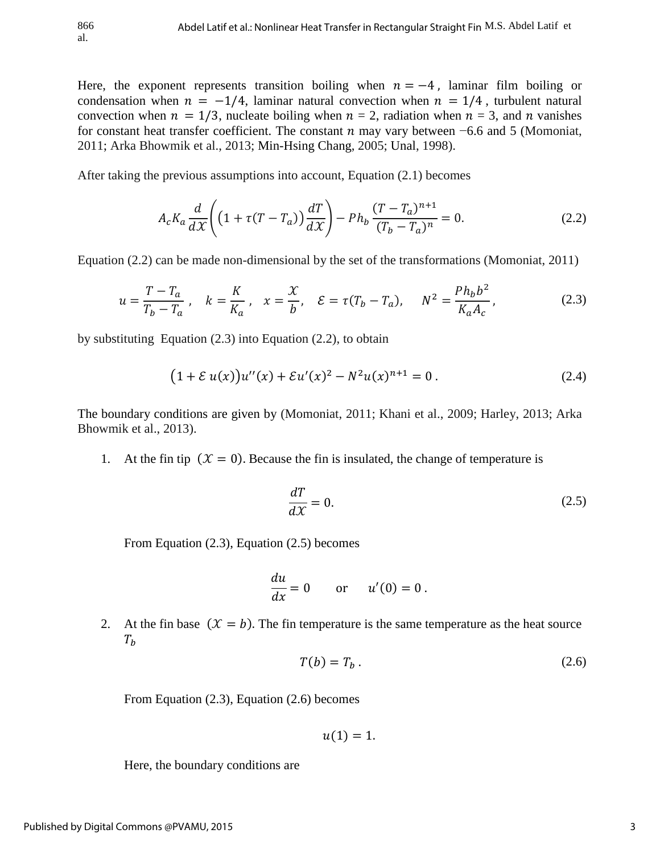Here, the exponent represents transition boiling when  $n = -4$ , laminar film boiling or condensation when  $n = -1/4$ , laminar natural convection when  $n = 1/4$ , turbulent natural convection when  $n = 1/3$ , nucleate boiling when  $n = 2$ , radiation when  $n = 3$ , and n vanishes for constant heat transfer coefficient. The constant  $n$  may vary between  $-6.6$  and 5 (Momoniat, 2011; Arka Bhowmik et al., 2013; Min-Hsing Chang, 2005; Unal, 1998).

After taking the previous assumptions into account, Equation (2.1) becomes

$$
A_c K_a \frac{d}{d\mathcal{X}} \left( \left( 1 + \tau (T - T_a) \right) \frac{dT}{d\mathcal{X}} \right) - P h_b \frac{(T - T_a)^{n+1}}{(T_b - T_a)^n} = 0. \tag{2.2}
$$

Equation (2.2) can be made non-dimensional by the set of the transformations (Momoniat, 2011)

$$
u = \frac{T - T_a}{T_b - T_a}, \quad k = \frac{K}{K_a}, \quad x = \frac{\mathcal{X}}{b}, \quad \mathcal{E} = \tau(T_b - T_a), \quad N^2 = \frac{Ph_b b^2}{K_a A_c}, \tag{2.3}
$$

by substituting Equation (2.3) into Equation (2.2), to obtain

$$
(1 + \mathcal{E} u(x))u''(x) + \mathcal{E} u'(x)^2 - N^2 u(x)^{n+1} = 0.
$$
 (2.4)

The boundary conditions are given by (Momoniat, 2011; Khani et al., 2009; Harley, 2013; Arka Bhowmik et al., 2013).

1. At the fin tip  $(X = 0)$ . Because the fin is insulated, the change of temperature is

$$
\frac{dT}{dX} = 0.\t(2.5)
$$

From Equation (2.3), Equation (2.5) becomes

$$
\frac{du}{dx} = 0 \qquad \text{or} \qquad u'(0) = 0 \, .
$$

2. At the fin base  $(X = b)$ . The fin temperature is the same temperature as the heat source  $T_h$ 

$$
T(b) = T_b \tag{2.6}
$$

From Equation (2.3), Equation (2.6) becomes

 $u(1) = 1.$ 

Here, the boundary conditions are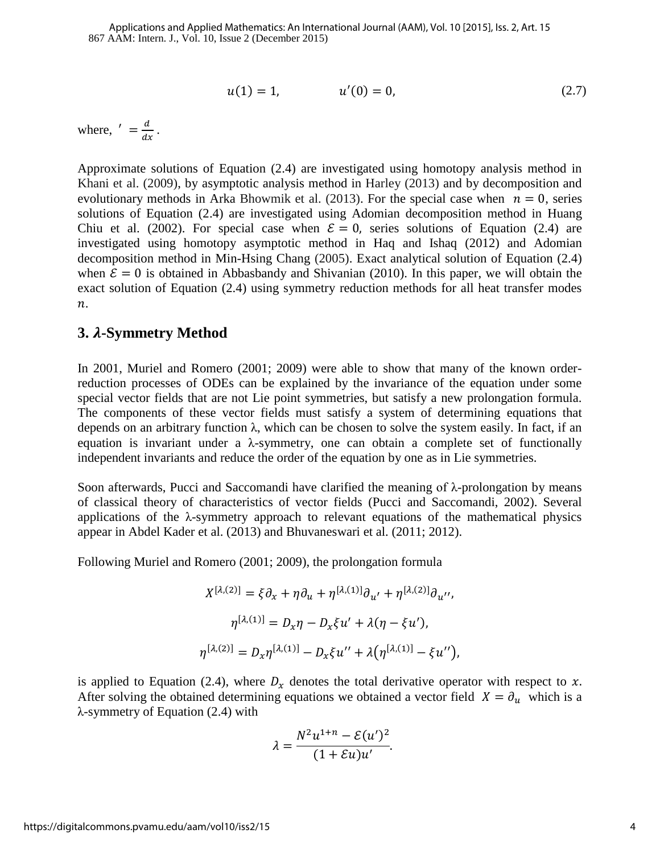$$
u(1) = 1, \qquad \qquad u'(0) = 0, \tag{2.7}
$$

where,  $' = \frac{d}{dx}$ .

Approximate solutions of Equation (2.4) are investigated using homotopy analysis method in Khani et al. (2009), by asymptotic analysis method in Harley (2013) and by decomposition and evolutionary methods in Arka Bhowmik et al. (2013). For the special case when  $n = 0$ , series solutions of Equation (2.4) are investigated using Adomian decomposition method in Huang Chiu et al. (2002). For special case when  $\mathcal{E} = 0$ , series solutions of Equation (2.4) are investigated using homotopy asymptotic method in Haq and Ishaq (2012) and Adomian decomposition method in Min-Hsing Chang (2005). Exact analytical solution of Equation (2.4) when  $\mathcal{E} = 0$  is obtained in Abbasbandy and Shivanian (2010). In this paper, we will obtain the exact solution of Equation (2.4) using symmetry reduction methods for all heat transfer modes  $n$ .

#### **3. -Symmetry Method**

In 2001, Muriel and Romero (2001; 2009) were able to show that many of the known orderreduction processes of ODEs can be explained by the invariance of the equation under some special vector fields that are not Lie point symmetries, but satisfy a new prolongation formula. The components of these vector fields must satisfy a system of determining equations that depends on an arbitrary function λ, which can be chosen to solve the system easily. In fact, if an equation is invariant under a  $\lambda$ -symmetry, one can obtain a complete set of functionally independent invariants and reduce the order of the equation by one as in Lie symmetries.

Soon afterwards, Pucci and Saccomandi have clarified the meaning of  $λ$ -prolongation by means of classical theory of characteristics of vector fields (Pucci and Saccomandi, 2002). Several applications of the  $\lambda$ -symmetry approach to relevant equations of the mathematical physics appear in Abdel Kader et al. (2013) and Bhuvaneswari et al. (2011; 2012).

Following Muriel and Romero (2001; 2009), the prolongation formula

$$
X^{[\lambda,(2)]} = \xi \partial_x + \eta \partial_u + \eta^{[\lambda,(1)]} \partial_{u'} + \eta^{[\lambda,(2)]} \partial_{u''},
$$
  

$$
\eta^{[\lambda,(1)]} = D_x \eta - D_x \xi u' + \lambda (\eta - \xi u'),
$$
  

$$
\eta^{[\lambda,(2)]} = D_x \eta^{[\lambda,(1)]} - D_x \xi u'' + \lambda (\eta^{[\lambda,(1)]} - \xi u''),
$$

is applied to Equation (2.4), where  $D<sub>x</sub>$  denotes the total derivative operator with respect to x. After solving the obtained determining equations we obtained a vector field  $X = \partial_u$  which is a λ-symmetry of Equation (2.4) with

$$
\lambda = \frac{N^2 u^{1+n} - \mathcal{E}(u')^2}{(1 + \mathcal{E}u)u'}.
$$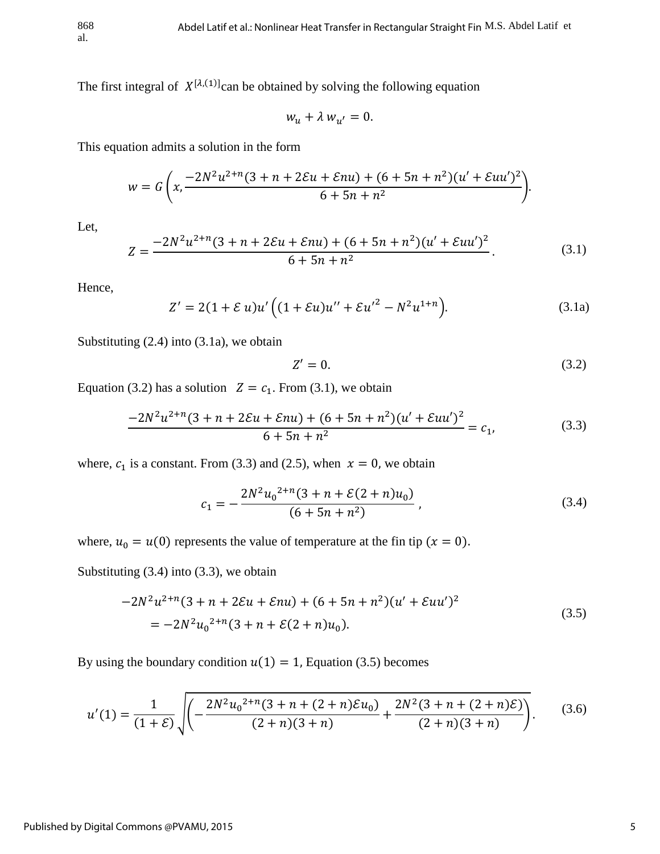The first integral of  $X^{[\lambda,(1)]}$ can be obtained by solving the following equation

$$
w_u + \lambda w_{u'} = 0.
$$

This equation admits a solution in the form

$$
w = G\left(x, \frac{-2N^2u^{2+n}(3+n+2Eu+Eu+u) + (6+5n+n^2)(u'+Eu+u')^2}{6+5n+n^2}\right).
$$

Let,

$$
Z = \frac{-2N^2u^{2+n}(3+n+2\mathcal{E}u+\mathcal{E}nu) + (6+5n+n^2)(u'+\mathcal{E}uu')^2}{6+5n+n^2}.
$$
 (3.1)

Hence,

$$
Z' = 2(1 + \mathcal{E} u)u'\left((1 + \mathcal{E} u)u'' + \mathcal{E} u'^2 - N^2 u^{1+n}\right).
$$
 (3.1a)

Substituting (2.4) into (3.1a), we obtain

$$
Z'=0.\t(3.2)
$$

Equation (3.2) has a solution  $Z = c_1$ . From (3.1), we obtain

$$
\frac{-2N^2u^{2+n}(3+n+2\mathcal{E}u+\mathcal{E}nu)+(6+5n+n^2)(u'+\mathcal{E}uu')^2}{6+5n+n^2}=c_1,\tag{3.3}
$$

where,  $c_1$  is a constant. From (3.3) and (2.5), when  $x = 0$ , we obtain

$$
c_1 = -\frac{2N^2u_0^{2+n}(3+n+\mathcal{E}(2+n)u_0)}{(6+5n+n^2)},
$$
\n(3.4)

where,  $u_0 = u(0)$  represents the value of temperature at the fin tip  $(x = 0)$ .

Substituting (3.4) into (3.3), we obtain

$$
-2N^{2}u^{2+n}(3+n+2\mathcal{E}u+\mathcal{E}nu)+(6+5n+n^{2})(u'+\mathcal{E}uu')^{2}
$$
  
= 
$$
-2N^{2}u_{0}^{2+n}(3+n+\mathcal{E}(2+n)u_{0}).
$$
 (3.5)

By using the boundary condition  $u(1) = 1$ , Equation (3.5) becomes

$$
u'(1) = \frac{1}{(1+\mathcal{E})} \sqrt{\left(-\frac{2N^2 u_0^{2+n}(3+n+(2+n)\mathcal{E}u_0)}{(2+n)(3+n)} + \frac{2N^2(3+n+(2+n)\mathcal{E})}{(2+n)(3+n)}\right)}.
$$
(3.6)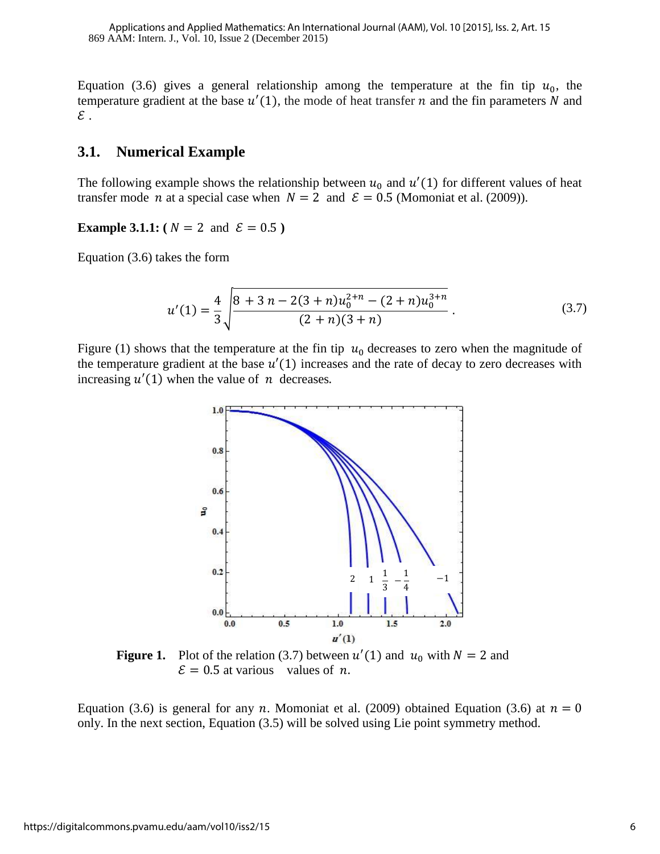Equation (3.6) gives a general relationship among the temperature at the fin tip  $u_0$ , the temperature gradient at the base  $u'(1)$ , the mode of heat transfer *n* and the fin parameters N and  $\varepsilon$  .

#### **3.1. Numerical Example**

The following example shows the relationship between  $u_0$  and  $u'(1)$  for different values of heat transfer mode *n* at a special case when  $N = 2$  and  $\mathcal{E} = 0.5$  (Momoniat et al. (2009)).

**Example 3.1.1:** ( $N = 2$  and  $\mathcal{E} = 0.5$ )

Equation (3.6) takes the form

$$
u'(1) = \frac{4}{3} \sqrt{\frac{8 + 3 n - 2(3 + n)u_0^{2+n} - (2 + n)u_0^{3+n}}{(2 + n)(3 + n)}}.
$$
 (3.7)

Figure (1) shows that the temperature at the fin tip  $u_0$  decreases to zero when the magnitude of the temperature gradient at the base  $u'(1)$  increases and the rate of decay to zero decreases with increasing  $u'(1)$  when the value of *n* decreases.



**Figure 1.** Plot of the relation (3.7) between  $u'(1)$  and  $u_0$  with  $N = 2$  and  $\mathcal{E} = 0.5$  at various values of *n*.

Equation (3.6) is general for any *n*. Momoniat et al. (2009) obtained Equation (3.6) at  $n = 0$ only. In the next section, Equation (3.5) will be solved using Lie point symmetry method.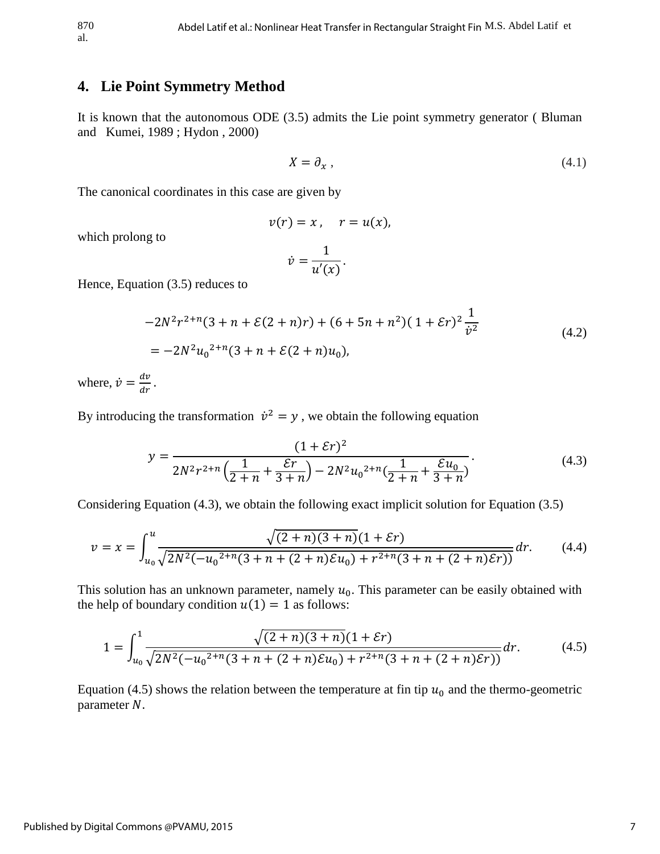#### **4. Lie Point Symmetry Method**

It is known that the autonomous ODE (3.5) admits the Lie point symmetry generator ( Bluman and Kumei, 1989 ; Hydon , 2000)

$$
X = \partial_x \,,\tag{4.1}
$$

The canonical coordinates in this case are given by

$$
v(r)=x, \quad r=u(x),
$$

which prolong to

$$
\dot{v} = \frac{1}{u'(x)}.
$$

Hence, Equation (3.5) reduces to

$$
-2N^{2}r^{2+n}(3+n+\mathcal{E}(2+n)r) + (6+5n+n^{2})(1+\mathcal{E}r)^{2}\frac{1}{\dot{v}^{2}}
$$
  
= 
$$
-2N^{2}u_{0}^{2+n}(3+n+\mathcal{E}(2+n)u_{0}),
$$
 (4.2)

where,  $\dot{v} = \frac{dv}{dr}$ .

By introducing the transformation  $\dot{v}^2 = y$ , we obtain the following equation

$$
y = \frac{(1+\mathcal{E}r)^2}{2N^2r^{2+n}\left(\frac{1}{2+n}+\frac{\mathcal{E}r}{3+n}\right)-2N^2u_0^{2+n}\left(\frac{1}{2+n}+\frac{\mathcal{E}u_0}{3+n}\right)}.
$$
(4.3)

Considering Equation (4.3), we obtain the following exact implicit solution for Equation (3.5)

$$
v = x = \int_{u_0}^{u} \frac{\sqrt{(2+n)(3+n)}(1+\mathcal{E}r)}{\sqrt{2N^2(-u_0^{2+n}(3+n+(2+n)\mathcal{E}u_0) + r^{2+n}(3+n+(2+n)\mathcal{E}r))}} dr.
$$
 (4.4)

This solution has an unknown parameter, namely  $u_0$ . This parameter can be easily obtained with the help of boundary condition  $u(1) = 1$  as follows:

$$
1 = \int_{u_0}^{1} \frac{\sqrt{(2+n)(3+n)}(1+\mathcal{E}r)}{\sqrt{2N^2(-{u_0}^{2+n}(3+n+(2+n)\mathcal{E}u_0)+r^{2+n}(3+n+(2+n)\mathcal{E}r))}}dr.
$$
 (4.5)

Equation (4.5) shows the relation between the temperature at fin tip  $u_0$  and the thermo-geometric parameter  $N$ .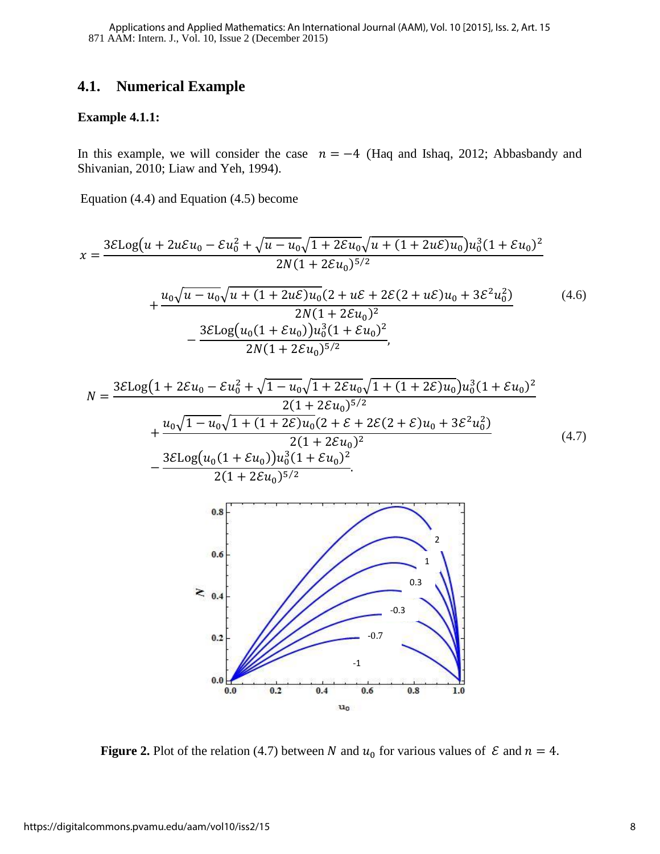### **4.1. Numerical Example**

#### **Example 4.1.1:**

In this example, we will consider the case  $n = -4$  (Haq and Ishaq, 2012; Abbasbandy and Shivanian, 2010; Liaw and Yeh, 1994).

Equation (4.4) and Equation (4.5) become

$$
x = \frac{3\mathcal{E} \log(u + 2u\mathcal{E} u_0 - \mathcal{E} u_0^2 + \sqrt{u - u_0}\sqrt{1 + 2\mathcal{E} u_0}\sqrt{u + (1 + 2u\mathcal{E})u_0}u_0^3(1 + \mathcal{E} u_0)^2}{2N(1 + 2\mathcal{E} u_0)^{5/2}} + \frac{u_0\sqrt{u - u_0}\sqrt{u + (1 + 2u\mathcal{E})u_0}(2 + u\mathcal{E} + 2\mathcal{E}(2 + u\mathcal{E})u_0 + 3\mathcal{E}^2 u_0^2)}{2N(1 + 2\mathcal{E} u_0)^2} - \frac{3\mathcal{E} \log(u_0(1 + \mathcal{E} u_0))u_0^3(1 + \mathcal{E} u_0)^2}{2N(1 + 2\mathcal{E} u_0)^{5/2}},
$$
\n(4.6)

$$
N = \frac{3\mathcal{E} \log(1 + 2\mathcal{E} u_0 - \mathcal{E} u_0^2 + \sqrt{1 - u_0}\sqrt{1 + 2\mathcal{E} u_0}\sqrt{1 + (1 + 2\mathcal{E})u_0}u_0^3(1 + \mathcal{E} u_0)^2}{2(1 + 2\mathcal{E} u_0)^{5/2}} + \frac{u_0\sqrt{1 - u_0}\sqrt{1 + (1 + 2\mathcal{E})u_0}(2 + \mathcal{E} + 2\mathcal{E}(2 + \mathcal{E})u_0 + 3\mathcal{E}^2 u_0^2)}{2(1 + 2\mathcal{E} u_0)^2} - \frac{3\mathcal{E} \log(u_0(1 + \mathcal{E} u_0))u_0^3(1 + \mathcal{E} u_0)^2}{2(1 + 2\mathcal{E} u_0)^{5/2}}.
$$
\n(4.7)



**Figure 2.** Plot of the relation (4.7) between N and  $u_0$  for various values of  $\mathcal E$  and  $n = 4$ .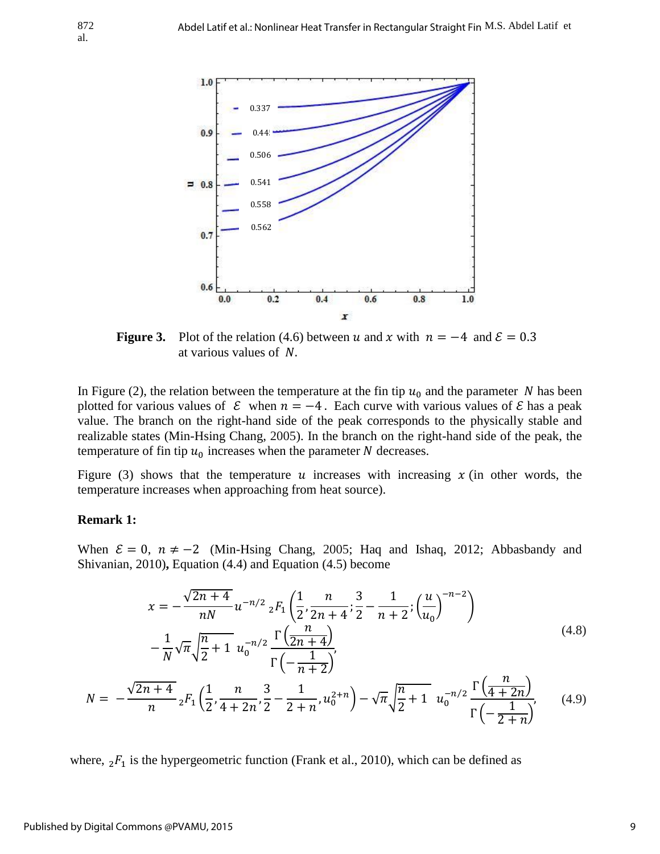

**Figure 3.** Plot of the relation (4.6) between u and x with  $n = -4$  and  $\mathcal{E} = 0.3$ at various values of N.

In Figure (2), the relation between the temperature at the fin tip  $u_0$  and the parameter N has been plotted for various values of  $\mathcal E$  when  $n = -4$ . Each curve with various values of  $\mathcal E$  has a peak value. The branch on the right-hand side of the peak corresponds to the physically stable and realizable states (Min-Hsing Chang, 2005). In the branch on the right-hand side of the peak, the temperature of fin tip  $u_0$  increases when the parameter N decreases.

Figure (3) shows that the temperature  $u$  increases with increasing  $x$  (in other words, the temperature increases when approaching from heat source).

#### **Remark 1:**

al.

When  $\mathcal{E} = 0$ ,  $n \neq -2$  (Min-Hsing Chang, 2005; Haq and Ishaq, 2012; Abbasbandy and Shivanian, 2010)**,** Equation (4.4) and Equation (4.5) become

$$
x = -\frac{\sqrt{2n+4}}{nN} u^{-n/2} {}_{2}F_{1}\left(\frac{1}{2}, \frac{n}{2n+4}; \frac{3}{2} - \frac{1}{n+2}; \left(\frac{u}{u_{0}}\right)^{-n-2}\right) - \frac{1}{N} \sqrt{\pi} \sqrt{\frac{n}{2} + 1} u_{0}^{-n/2} \frac{\Gamma\left(\frac{n}{2n+4}\right)}{\Gamma\left(-\frac{1}{n+2}\right)},
$$
\n(4.8)

$$
N = -\frac{\sqrt{2n+4}}{n} {}_{2}F_{1}\left(\frac{1}{2}, \frac{n}{4+2n}, \frac{3}{2}-\frac{1}{2+n}, u_{0}^{2+n}\right) - \sqrt{\pi} \sqrt{\frac{n}{2}+1} u_{0}^{-n/2} \frac{\Gamma\left(\frac{n}{4+2n}\right)}{\Gamma\left(-\frac{1}{2+n}\right)},\tag{4.9}
$$

where,  ${}_{2}F_{1}$  is the hypergeometric function (Frank et al., 2010), which can be defined as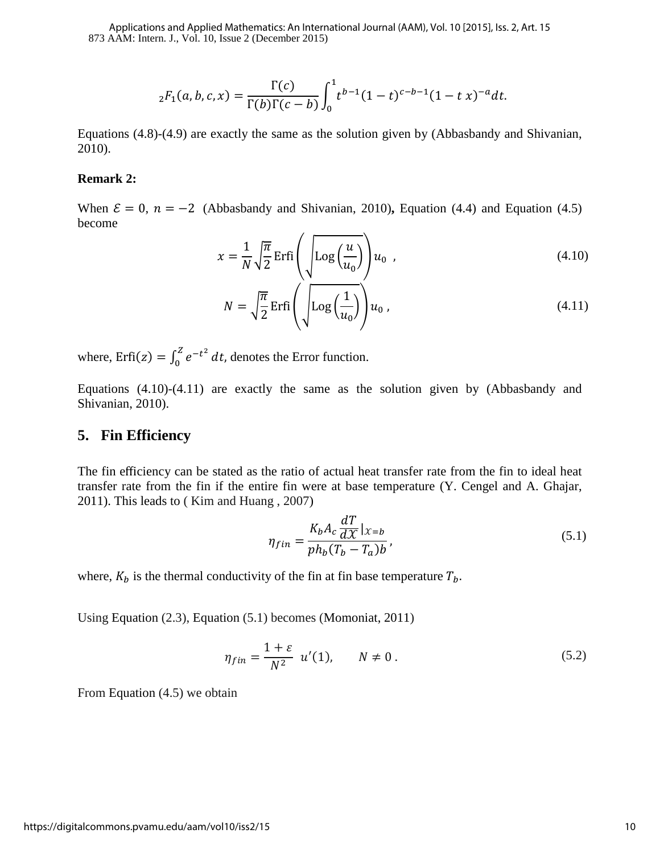873 AAM: Intern. J., Vol. 10, Issue 2 (December 2015) Applications and Applied Mathematics: An International Journal (AAM), Vol. 10 [2015], Iss. 2, Art. 15

$$
{}_2F_1(a,b,c,x) = \frac{\Gamma(c)}{\Gamma(b)\Gamma(c-b)} \int_0^1 t^{b-1} (1-t)^{c-b-1} (1-t x)^{-a} dt.
$$

Equations (4.8)-(4.9) are exactly the same as the solution given by (Abbasbandy and Shivanian, 2010).

#### **Remark 2:**

When  $\mathcal{E} = 0$ ,  $n = -2$  (Abbasbandy and Shivanian, 2010), Equation (4.4) and Equation (4.5) become  $\overline{\phantom{a}}$ 

$$
x = \frac{1}{N} \sqrt{\frac{\pi}{2}} \operatorname{Erfi}\left(\sqrt{\log\left(\frac{u}{u_0}\right)}\right) u_0 \tag{4.10}
$$

$$
N = \sqrt{\frac{\pi}{2}} \operatorname{Erfi}\left(\sqrt{\log\left(\frac{1}{u_0}\right)}\right) u_0, \tag{4.11}
$$

where,  $Erfi(z) = \int_0^z e^{-t^2}$  $\int_{0}^{2} e^{-t^2} dt$ , denotes the Error function.

Equations (4.10)-(4.11) are exactly the same as the solution given by (Abbasbandy and Shivanian, 2010).

#### **5. Fin Efficiency**

The fin efficiency can be stated as the ratio of actual heat transfer rate from the fin to ideal heat transfer rate from the fin if the entire fin were at base temperature (Y. Cengel and A. Ghajar, 2011). This leads to ( Kim and Huang , 2007)

$$
\eta_{fin} = \frac{K_b A_c \frac{dT}{dX} |_{X=b}}{ph_b (T_b - T_a)b},\tag{5.1}
$$

where,  $K_b$  is the thermal conductivity of the fin at fin base temperature  $T_b$ .

Using Equation (2.3), Equation (5.1) becomes (Momoniat, 2011)

$$
\eta_{fin} = \frac{1+\varepsilon}{N^2} \ u'(1), \qquad N \neq 0 \,. \tag{5.2}
$$

From Equation (4.5) we obtain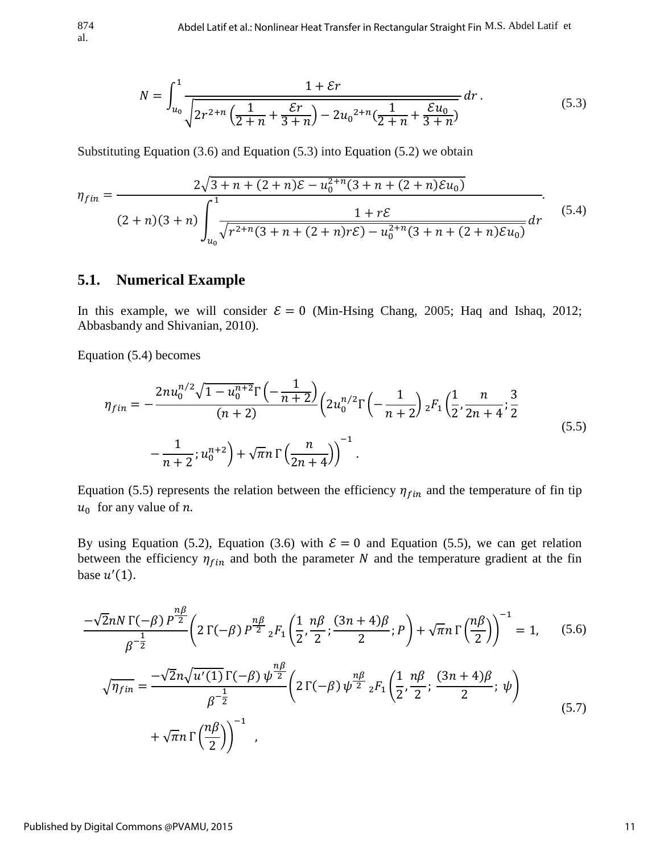$$
N = \int_{u_0}^{1} \frac{1 + \mathcal{E}r}{\sqrt{2r^{2+n}\left(\frac{1}{2+n} + \frac{\mathcal{E}r}{3+n}\right) - 2u_0^{2+n}\left(\frac{1}{2+n} + \frac{\mathcal{E}u_0}{3+n}\right)}} dr.
$$
 (5.3)

Substituting Equation (3.6) and Equation (5.3) into Equation (5.2) we obtain

$$
\eta_{fin} = \frac{2\sqrt{3+n+(2+n)\mathcal{E} - u_0^{2+n}(3+n+(2+n)\mathcal{E}u_0)}}{(2+n)(3+n)\int_{u_0}^1 \frac{1+r\mathcal{E}}{\sqrt{r^{2+n}(3+n+(2+n)r\mathcal{E}) - u_0^{2+n}(3+n+(2+n)\mathcal{E}u_0)}}dr}.
$$
\n(5.4)

#### **5.1. Numerical Example**

In this example, we will consider  $\mathcal{E} = 0$  (Min-Hsing Chang, 2005; Haq and Ishaq, 2012; Abbasbandy and Shivanian, 2010).

Equation (5.4) becomes

$$
\eta_{fin} = -\frac{2nu_0^{n/2}\sqrt{1 - u_0^{n+2}}\Gamma\left(-\frac{1}{n+2}\right)}{(n+2)} \left(2u_0^{n/2}\Gamma\left(-\frac{1}{n+2}\right) {}_2F_1\left(\frac{1}{2}, \frac{n}{2n+4}; \frac{3}{2}\right) -\frac{1}{n+2}; u_0^{n+2}\right) + \sqrt{\pi}n \Gamma\left(\frac{n}{2n+4}\right)^{-1}.
$$
\n(5.5)

Equation (5.5) represents the relation between the efficiency  $\eta_{fin}$  and the temperature of fin tip  $u_0$  for any value of n.

By using Equation (5.2), Equation (3.6) with  $\mathcal{E} = 0$  and Equation (5.5), we can get relation between the efficiency  $\eta_{fin}$  and both the parameter N and the temperature gradient at the fin base  $u'(1)$ .

$$
\frac{-\sqrt{2}nN\,\Gamma(-\beta)\,P^{\frac{n\beta}{2}}}{\beta^{-\frac{1}{2}}} \left(2\,\Gamma(-\beta)\,P^{\frac{n\beta}{2}}\,{}_{2}F_{1}\left(\frac{1}{2},\frac{n\beta}{2};\frac{(3n+4)\beta}{2};P\right) + \sqrt{\pi}n\,\Gamma\left(\frac{n\beta}{2}\right)\right)^{-1} = 1,\qquad(5.6)
$$
\n
$$
\sqrt{\eta_{fin}} = \frac{-\sqrt{2}n\sqrt{u'(1)}\,\Gamma(-\beta)\,\psi^{\frac{n\beta}{2}}}{\beta^{-\frac{1}{2}}} \left(2\,\Gamma(-\beta)\,\psi^{\frac{n\beta}{2}}\,{}_{2}F_{1}\left(\frac{1}{2},\frac{n\beta}{2};\frac{(3n+4)\beta}{2};\psi\right) + \sqrt{\pi}n\,\Gamma\left(\frac{n\beta}{2}\right)\right)^{-1},\qquad(5.7)
$$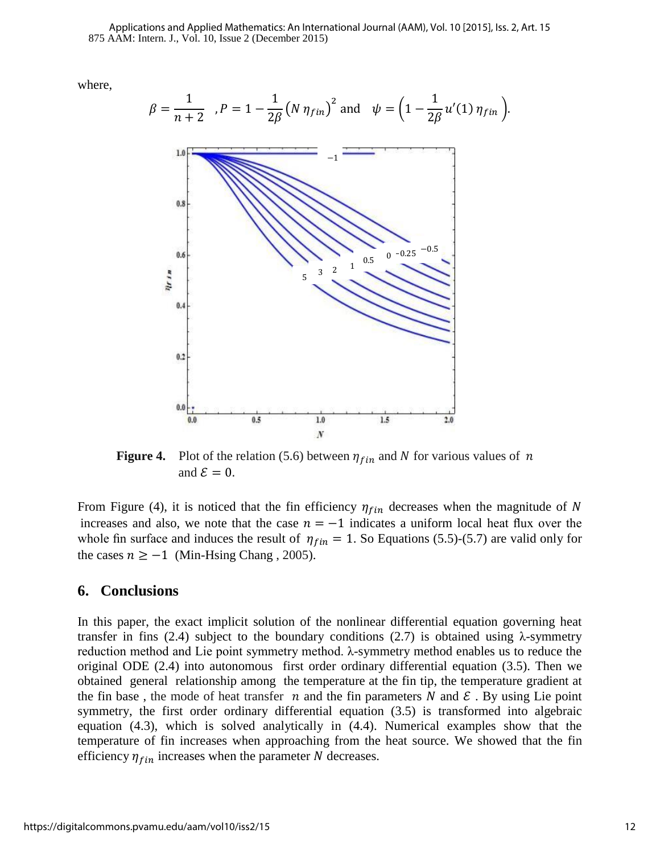875 AAM: Intern. J., Vol. 10, Issue 2 (December 2015) Applications and Applied Mathematics: An International Journal (AAM), Vol. 10 [2015], Iss. 2, Art. 15

where,

$$
\beta = \frac{1}{n+2}, P = 1 - \frac{1}{2\beta} (N \eta_{fin})^2 \text{ and } \psi = \left(1 - \frac{1}{2\beta} u'(1) \eta_{fin}\right).
$$

**Figure 4.** Plot of the relation (5.6) between  $\eta_{fin}$  and N for various values of n and  $\mathcal{E} = 0$ .

From Figure (4), it is noticed that the fin efficiency  $\eta_{fin}$  decreases when the magnitude of N increases and also, we note that the case  $n = -1$  indicates a uniform local heat flux over the whole fin surface and induces the result of  $\eta_{fin} = 1$ . So Equations (5.5)-(5.7) are valid only for the cases  $n \ge -1$  (Min-Hsing Chang, 2005).

#### **6. Conclusions**

In this paper, the exact implicit solution of the nonlinear differential equation governing heat transfer in fins (2.4) subject to the boundary conditions (2.7) is obtained using  $\lambda$ -symmetry reduction method and Lie point symmetry method. λ-symmetry method enables us to reduce the original ODE (2.4) into autonomous first order ordinary differential equation (3.5). Then we obtained general relationship among the temperature at the fin tip, the temperature gradient at the fin base, the mode of heat transfer *n* and the fin parameters N and  $\epsilon$ . By using Lie point symmetry, the first order ordinary differential equation (3.5) is transformed into algebraic equation (4.3), which is solved analytically in (4.4). Numerical examples show that the temperature of fin increases when approaching from the heat source. We showed that the fin efficiency  $\eta_{fin}$  increases when the parameter N decreases.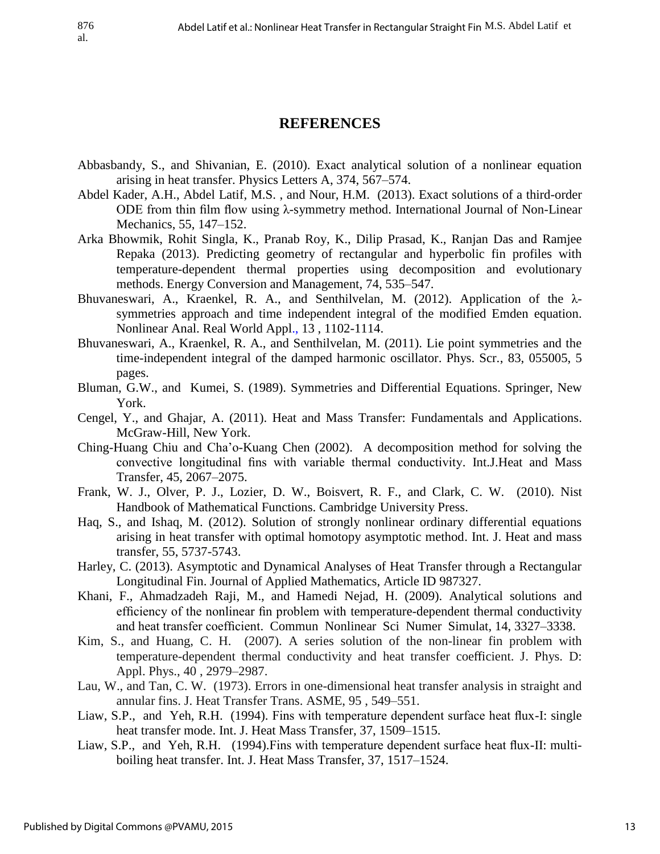## **REFERENCES**

- Abbasbandy, S., and Shivanian, E. (2010). Exact analytical solution of a nonlinear equation arising in heat transfer. Physics Letters A, 374, 567–574.
- Abdel Kader, A.H., Abdel Latif, M.S. , and Nour, H.M. (2013). Exact solutions of a third-order ODE from thin film flow using λ-symmetry method. International Journal of Non-Linear Mechanics, 55, 147–152.
- Arka Bhowmik, Rohit Singla, K., Pranab Roy, K., Dilip Prasad, K., Ranjan Das and Ramjee Repaka (2013). Predicting geometry of rectangular and hyperbolic fin profiles with temperature-dependent thermal properties using decomposition and evolutionary methods. Energy Conversion and Management, 74, 535–547.
- Bhuvaneswari, A., Kraenkel, R. A., and Senthilvelan, M. (2012). Application of the λsymmetries approach and time independent integral of the modified Emden equation. Nonlinear Anal. Real World Appl., 13 , 1102-1114.
- Bhuvaneswari, A., Kraenkel, R. A., and Senthilvelan, M. (2011). Lie point symmetries and the time-independent integral of the damped harmonic oscillator. Phys. Scr., 83, 055005, 5 pages.
- Bluman, G.W., and Kumei, S. (1989). Symmetries and Differential Equations. Springer, New York.
- Cengel, Y., and Ghajar, A. (2011). [Heat and Mass Transfer: Fundamentals and Applications.](http://www.amazon.com/Heat-Mass-Transfer-Fundamentals-Applications/dp/0077366646/ref=sr_1_2?s=books&ie=UTF8&qid=1370966002&sr=1-2)  McGraw-Hill, New York.
- Ching-Huang Chiu and Cha'o-Kuang Chen (2002). A decomposition method for solving the convective longitudinal fins with variable thermal conductivity. Int.J.Heat and Mass Transfer, 45, 2067–2075.
- Frank, W. J., Olver, P. J., Lozier, D. W., Boisvert, R. F., and Clark, C. W. (2010). Nist Handbook of Mathematical Functions. Cambridge University Press.
- Haq, S., and Ishaq, M. (2012). Solution of strongly nonlinear ordinary differential equations arising in heat transfer with optimal homotopy asymptotic method. Int. J. Heat and mass transfer, 55, 5737-5743.
- Harley, C. (2013). Asymptotic and Dynamical Analyses of Heat Transfer through a Rectangular Longitudinal Fin. Journal of Applied Mathematics, Article ID 987327.
- Khani, F., Ahmadzadeh Raji, M., and Hamedi Nejad, H. (2009). Analytical solutions and efficiency of the nonlinear fin problem with temperature-dependent thermal conductivity and heat transfer coefficient. Commun Nonlinear Sci Numer Simulat, 14, 3327–3338.
- Kim, S., and Huang, C. H. (2007). A series solution of the non-linear fin problem with temperature-dependent thermal conductivity and heat transfer coefficient. J. Phys. D: Appl. Phys., 40 , 2979–2987.
- Lau, W., and Tan, C. W. (1973). Errors in one-dimensional heat transfer analysis in straight and annular fins. J. Heat Transfer Trans. ASME, 95 , 549–551.
- Liaw, S.P., and Yeh, R.H. (1994). Fins with temperature dependent surface heat flux-I: single heat transfer mode. Int. J. Heat Mass Transfer, 37, 1509–1515.
- Liaw, S.P., and Yeh, R.H. (1994).Fins with temperature dependent surface heat flux-II: multiboiling heat transfer. Int. J. Heat Mass Transfer, 37, 1517–1524.